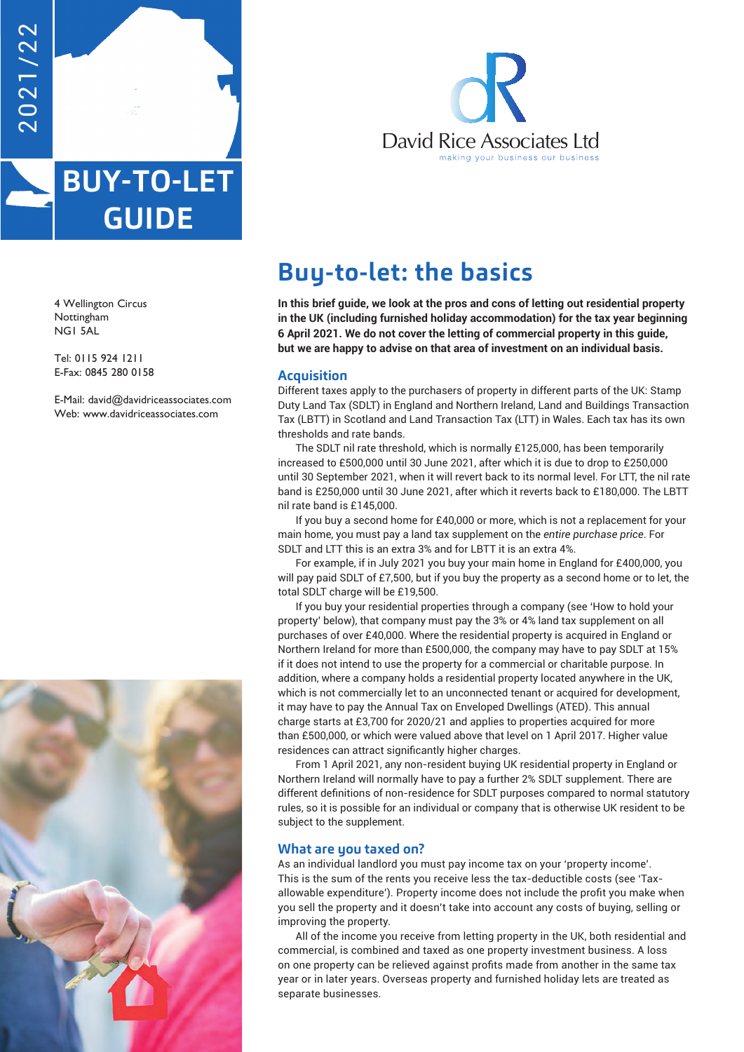

# **BUY-TO-LET GUIDE**

4 Wellington Circus Nottingham NG1 5AL

Tel: 0115 924 1211 E-Fax: 0845 280 0158

E-Mail: david@davidriceassociates.com Web: www.davidriceassociates.com





# **Buy-to-let: the basics**

**In this brief guide, we look at the pros and cons of letting out residential property in the UK (including furnished holiday accommodation) for the tax year beginning**  If the OK (including runnshed holiday accommodation) for the tax year begins.<br>6 April 2021. We do not cover the letting of commercial property in this guide, **but we are happy to advise on that area of investment on an individual basis.**

# **Acquisition**

Different taxes apply to the purchasers of property in different parts of the UK: Stamp Duty Land Tax (SDLT) in England and Northern Ireland, Land and Buildings Transaction Tax (LBTT) in Scotland and Land Transaction Tax (LTT) in Wales. Each tax has its own thresholds and rate bands.

The SDLT nil rate threshold, which is normally £125,000, has been temporarily increased to £500,000 until 30 June 2021, after which it is due to drop to £250,000 until 30 September 2021, when it will revert back to its normal level. For LTT, the nil rate band is £250,000 until 30 June 2021, after which it reverts back to £180,000. The LBTT nil rate band is £145,000.

If you buy a second home for £40,000 or more, which is not a replacement for your main home, you must pay a land tax supplement on the *entire purchase price*. For SDLT and LTT this is an extra 3% and for LBTT it is an extra 4%.

For example, if in July 2021 you buy your main home in England for £400,000, you will pay paid SDLT of £7,500, but if you buy the property as a second home or to let, the total SDLT charge will be £19,500.

If you buy your residential properties through a company (see 'How to hold your property' below), that company must pay the 3% or 4% land tax supplement on all purchases of over £40,000. Where the residential property is acquired in England or Northern Ireland for more than £500,000, the company may have to pay SDLT at 15% if it does not intend to use the property for a commercial or charitable purpose. In addition, where a company holds a residential property located anywhere in the UK, which is not commercially let to an unconnected tenant or acquired for development, it may have to pay the Annual Tax on Enveloped Dwellings (ATED). This annual charge starts at £3,700 for 2020/21 and applies to properties acquired for more than £500,000, or which were valued above that level on 1 April 2017. Higher value residences can attract significantly higher charges.

From 1 April 2021, any non-resident buying UK residential property in England or Northern Ireland will normally have to pay a further 2% SDLT supplement. There are different definitions of non-residence for SDLT purposes compared to normal statutory rules, so it is possible for an individual or company that is otherwise UK resident to be subject to the supplement.

# **What are you taxed on?**

As an individual landlord you must pay income tax on your 'property income'. This is the sum of the rents you receive less the tax-deductible costs (see 'Taxallowable expenditure'). Property income does not include the profit you make when you sell the property and it doesn't take into account any costs of buying, selling or improving the property.

All of the income you receive from letting property in the UK, both residential and commercial, is combined and taxed as one property investment business. A loss on one property can be relieved against profits made from another in the same tax year or in later years. Overseas property and furnished holiday lets are treated as separate businesses.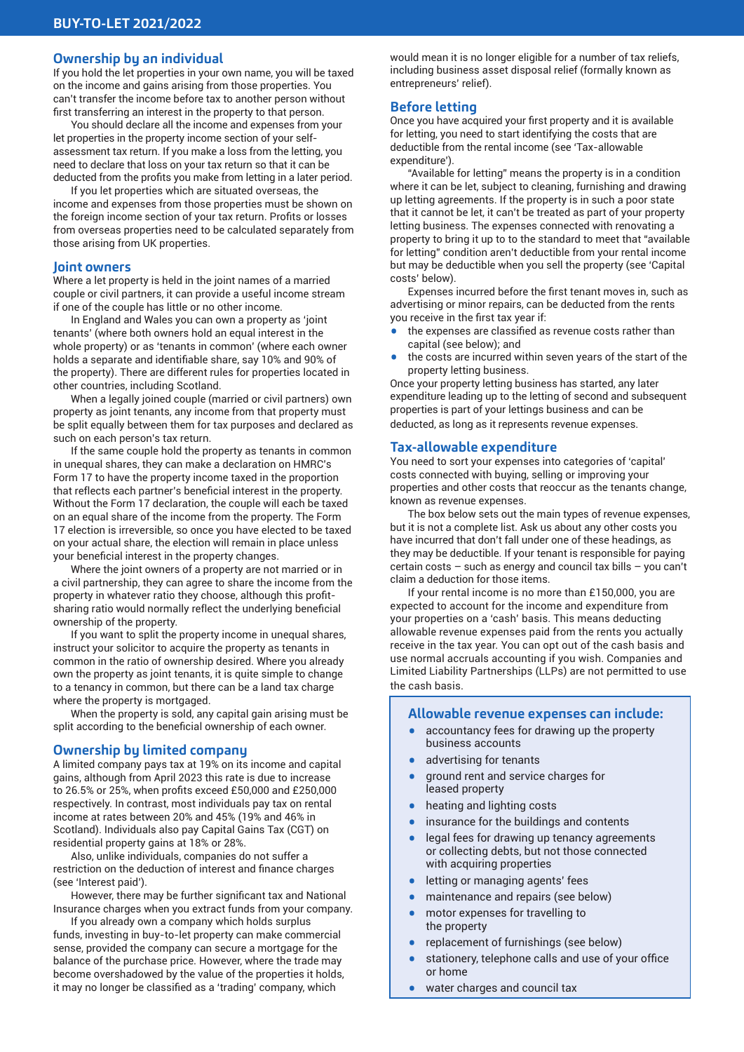# **Ownership by an individual**

If you hold the let properties in your own name, you will be taxed on the income and gains arising from those properties. You can't transfer the income before tax to another person without first transferring an interest in the property to that person.

You should declare all the income and expenses from your let properties in the property income section of your selfassessment tax return. If you make a loss from the letting, you need to declare that loss on your tax return so that it can be deducted from the profits you make from letting in a later period.

If you let properties which are situated overseas, the income and expenses from those properties must be shown on the foreign income section of your tax return. Profits or losses from overseas properties need to be calculated separately from those arising from UK properties.

#### **Joint owners**

Where a let property is held in the joint names of a married couple or civil partners, it can provide a useful income stream if one of the couple has little or no other income.

In England and Wales you can own a property as 'joint tenants' (where both owners hold an equal interest in the whole property) or as 'tenants in common' (where each owner holds a separate and identifiable share, say 10% and 90% of the property). There are different rules for properties located in other countries, including Scotland.

When a legally joined couple (married or civil partners) own property as joint tenants, any income from that property must be split equally between them for tax purposes and declared as such on each person's tax return.

If the same couple hold the property as tenants in common in unequal shares, they can make a declaration on HMRC's Form 17 to have the property income taxed in the proportion that reflects each partner's beneficial interest in the property. Without the Form 17 declaration, the couple will each be taxed on an equal share of the income from the property. The Form 17 election is irreversible, so once you have elected to be taxed on your actual share, the election will remain in place unless your beneficial interest in the property changes.

Where the joint owners of a property are not married or in a civil partnership, they can agree to share the income from the property in whatever ratio they choose, although this profitsharing ratio would normally reflect the underlying beneficial ownership of the property.

If you want to split the property income in unequal shares, instruct your solicitor to acquire the property as tenants in common in the ratio of ownership desired. Where you already own the property as joint tenants, it is quite simple to change to a tenancy in common, but there can be a land tax charge where the property is mortgaged.

When the property is sold, any capital gain arising must be split according to the beneficial ownership of each owner.

#### **Ownership by limited company**

A limited company pays tax at 19% on its income and capital gains, although from April 2023 this rate is due to increase to 26.5% or 25%, when profits exceed £50,000 and £250,000 respectively. In contrast, most individuals pay tax on rental income at rates between 20% and 45% (19% and 46% in Scotland). Individuals also pay Capital Gains Tax (CGT) on residential property gains at 18% or 28%.

Also, unlike individuals, companies do not suffer a restriction on the deduction of interest and finance charges (see 'Interest paid').

However, there may be further significant tax and National Insurance charges when you extract funds from your company.

If you already own a company which holds surplus funds, investing in buy-to-let property can make commercial sense, provided the company can secure a mortgage for the balance of the purchase price. However, where the trade may become overshadowed by the value of the properties it holds, it may no longer be classified as a 'trading' company, which

would mean it is no longer eligible for a number of tax reliefs, including business asset disposal relief (formally known as entrepreneurs' relief).

# **Before letting**

Once you have acquired your first property and it is available for letting, you need to start identifying the costs that are deductible from the rental income (see 'Tax-allowable expenditure').

"Available for letting" means the property is in a condition where it can be let, subject to cleaning, furnishing and drawing up letting agreements. If the property is in such a poor state that it cannot be let, it can't be treated as part of your property letting business. The expenses connected with renovating a property to bring it up to to the standard to meet that "available for letting" condition aren't deductible from your rental income but may be deductible when you sell the property (see 'Capital costs' below).

Expenses incurred before the first tenant moves in, such as advertising or minor repairs, can be deducted from the rents you receive in the first tax year if:

- the expenses are classified as revenue costs rather than capital (see below); and
- the costs are incurred within seven years of the start of the property letting business.

Once your property letting business has started, any later expenditure leading up to the letting of second and subsequent properties is part of your lettings business and can be deducted, as long as it represents revenue expenses.

#### **Tax-allowable expenditure**

You need to sort your expenses into categories of 'capital' costs connected with buying, selling or improving your properties and other costs that reoccur as the tenants change, known as revenue expenses.

The box below sets out the main types of revenue expenses, but it is not a complete list. Ask us about any other costs you have incurred that don't fall under one of these headings, as they may be deductible. If your tenant is responsible for paying certain costs – such as energy and council tax bills – you can't claim a deduction for those items.

If your rental income is no more than £150,000, you are expected to account for the income and expenditure from your properties on a 'cash' basis. This means deducting allowable revenue expenses paid from the rents you actually receive in the tax year. You can opt out of the cash basis and use normal accruals accounting if you wish. Companies and Limited Liability Partnerships (LLPs) are not permitted to use the cash basis.

#### **Allowable revenue expenses can include:**

- accountancy fees for drawing up the property business accounts
- advertising for tenants
- ground rent and service charges for leased property
- heating and lighting costs<br>• insurance for the buildings
- insurance for the buildings and contents
- legal fees for drawing up tenancy agreements or collecting debts, but not those connected with acquiring properties
- letting or managing agents' fees
- maintenance and repairs (see below)
- motor expenses for travelling to the property
- replacement of furnishings (see below)
- stationery, telephone calls and use of your office or home
- water charges and council tax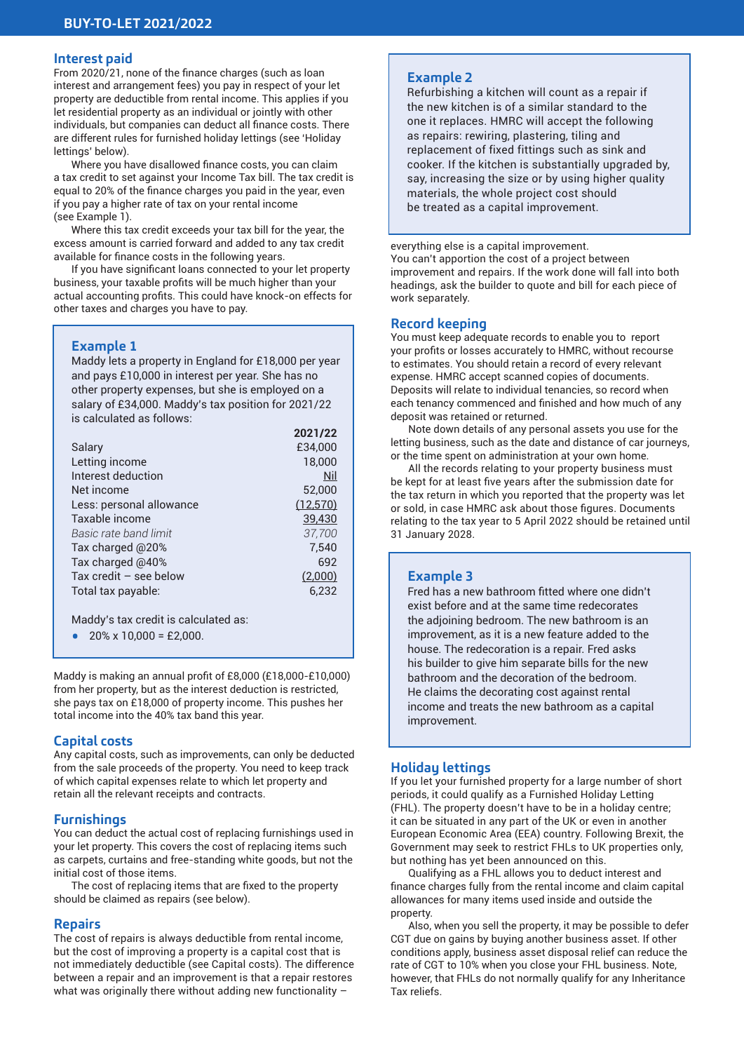# **Interest paid**

From 2020/21, none of the finance charges (such as loan interest and arrangement fees) you pay in respect of your let property are deductible from rental income. This applies if you let residential property as an individual or jointly with other individuals, but companies can deduct all finance costs. There are different rules for furnished holiday lettings (see 'Holiday lettings' below).

Where you have disallowed finance costs, you can claim a tax credit to set against your Income Tax bill. The tax credit is equal to 20% of the finance charges you paid in the year, even if you pay a higher rate of tax on your rental income (see Example 1).

Where this tax credit exceeds your tax bill for the year, the excess amount is carried forward and added to any tax credit available for finance costs in the following years.

If you have significant loans connected to your let property business, your taxable profits will be much higher than your actual accounting profits. This could have knock-on effects for other taxes and charges you have to pay.

# **Example 1**

Maddy lets a property in England for £18,000 per year and pays £10,000 in interest per year. She has no other property expenses, but she is employed on a salary of £34,000. Maddy's tax position for 2021/22 is calculated as follows:

|                          | 2021/22   |
|--------------------------|-----------|
| Salary                   | £34,000   |
| Letting income           | 18,000    |
| Interest deduction       | Nil       |
| Net income               | 52,000    |
| Less: personal allowance | (12, 570) |
| Taxable income           | 39,430    |
| Basic rate band limit    | 37,700    |
| Tax charged @20%         | 7,540     |
| Tax charged @40%         | 692       |
| Tax credit $-$ see below | (2,000)   |
| Total tax payable:       | 6,232     |
|                          |           |

Maddy's tax credit is calculated as:

•  $20\% \times 10,000 = \text{\textsterling}2,000$ .

Maddy is making an annual profit of £8,000 (£18,000-£10,000) from her property, but as the interest deduction is restricted, she pays tax on £18,000 of property income. This pushes her total income into the 40% tax band this year.

#### **Capital costs**

Any capital costs, such as improvements, can only be deducted from the sale proceeds of the property. You need to keep track of which capital expenses relate to which let property and retain all the relevant receipts and contracts.

#### **Furnishings**

You can deduct the actual cost of replacing furnishings used in your let property. This covers the cost of replacing items such as carpets, curtains and free-standing white goods, but not the initial cost of those items.

The cost of replacing items that are fixed to the property should be claimed as repairs (see below).

#### **Repairs**

The cost of repairs is always deductible from rental income, but the cost of improving a property is a capital cost that is not immediately deductible (see Capital costs). The difference between a repair and an improvement is that a repair restores what was originally there without adding new functionality –

# **Example 2**

Refurbishing a kitchen will count as a repair if the new kitchen is of a similar standard to the one it replaces. HMRC will accept the following as repairs: rewiring, plastering, tiling and replacement of fixed fittings such as sink and cooker. If the kitchen is substantially upgraded by, say, increasing the size or by using higher quality materials, the whole project cost should be treated as a capital improvement.

everything else is a capital improvement. You can't apportion the cost of a project between improvement and repairs. If the work done will fall into both headings, ask the builder to quote and bill for each piece of work separately.

# **Record keeping**

You must keep adequate records to enable you to report your profits or losses accurately to HMRC, without recourse to estimates. You should retain a record of every relevant expense. HMRC accept scanned copies of documents. Deposits will relate to individual tenancies, so record when each tenancy commenced and finished and how much of any deposit was retained or returned.

Note down details of any personal assets you use for the letting business, such as the date and distance of car journeys, or the time spent on administration at your own home.

All the records relating to your property business must be kept for at least five years after the submission date for the tax return in which you reported that the property was let or sold, in case HMRC ask about those figures. Documents relating to the tax year to 5 April 2022 should be retained until 31 January 2028.

# **Example 3**

Fred has a new bathroom fitted where one didn't exist before and at the same time redecorates the adjoining bedroom. The new bathroom is an improvement, as it is a new feature added to the house. The redecoration is a repair. Fred asks his builder to give him separate bills for the new bathroom and the decoration of the bedroom. He claims the decorating cost against rental income and treats the new bathroom as a capital improvement.

# **Holiday lettings**

If you let your furnished property for a large number of short periods, it could qualify as a Furnished Holiday Letting (FHL). The property doesn't have to be in a holiday centre; it can be situated in any part of the UK or even in another European Economic Area (EEA) country. Following Brexit, the Government may seek to restrict FHLs to UK properties only, but nothing has yet been announced on this.

Qualifying as a FHL allows you to deduct interest and finance charges fully from the rental income and claim capital allowances for many items used inside and outside the property.

Also, when you sell the property, it may be possible to defer CGT due on gains by buying another business asset. If other conditions apply, business asset disposal relief can reduce the rate of CGT to 10% when you close your FHL business. Note, however, that FHLs do not normally qualify for any Inheritance Tax reliefs.